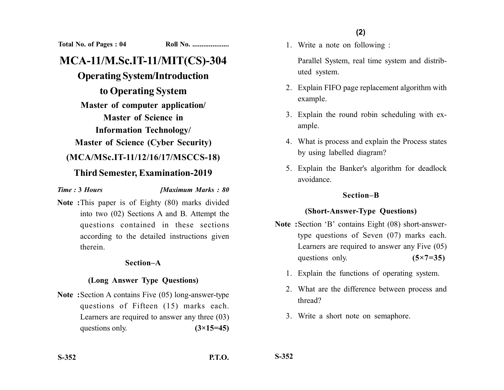**Total No. of Pages : 04 Roll No. ....................**

# **MCA-11/M.Sc.IT-11/MIT(CS)-304**

## **Operating System/Introduction**

**to Operating System Master of computer application/ Master of Science in Information Technology/**

**Master of Science (Cyber Security)**

## **(MCA/MSc.IT-11/12/16/17/MSCCS-18)**

## **Third Semester, Examination-2019**

*Time :* **3** *Hours [Maximum Marks : 80*

**Note :**This paper is of Eighty (80) marks divided into two (02) Sections A and B. Attempt the questions contained in these sections according to the detailed instructions given therein.

#### **Section–A**

### **(Long Answer Type Questions)**

**Note :**Section A contains Five (05) long-answer-type questions of Fifteen (15) marks each. Learners are required to answer any three (03) questions only. **(3×15=45)**  1. Write a note on following :

Parallel System, real time system and distributed system.

- 2. Explain FIFO page replacement algorithm with example.
- 3. Explain the round robin scheduling with example.
- 4. What is process and explain the Process states by using labelled diagram?
- 5. Explain the Banker's algorithm for deadlock avoidance.

### **Section–B**

## **(Short-Answer-Type Questions)**

- **Note :**Section 'B' contains Eight (08) short-answertype questions of Seven (07) marks each. Learners are required to answer any Five (05) questions only. **(5×7=35)** 
	- 1. Explain the functions of operating system.
	- 2. What are the difference between process and thread?
	- 3. Write a short note on semaphore.